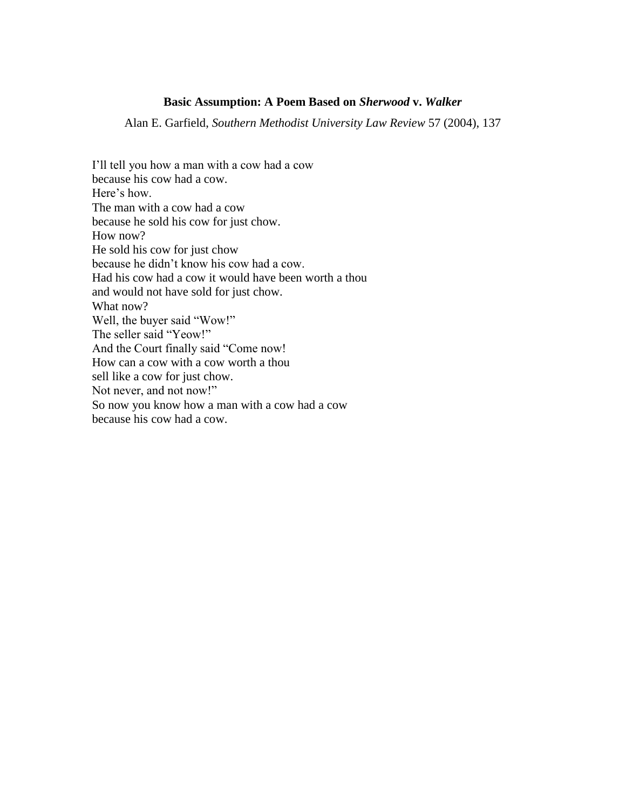# **Basic Assumption: A Poem Based on** *Sherwood* **v.** *Walker*

Alan E. Garfield, *Southern Methodist University Law Review* 57 (2004), 137

I'll tell you how a man with a cow had a cow because his cow had a cow. Here's how. The man with a cow had a cow because he sold his cow for just chow. How now? He sold his cow for just chow because he didn't know his cow had a cow. Had his cow had a cow it would have been worth a thou and would not have sold for just chow. What now? Well, the buyer said "Wow!" The seller said "Yeow!" And the Court finally said "Come now! How can a cow with a cow worth a thou sell like a cow for just chow. Not never, and not now!" So now you know how a man with a cow had a cow because his cow had a cow.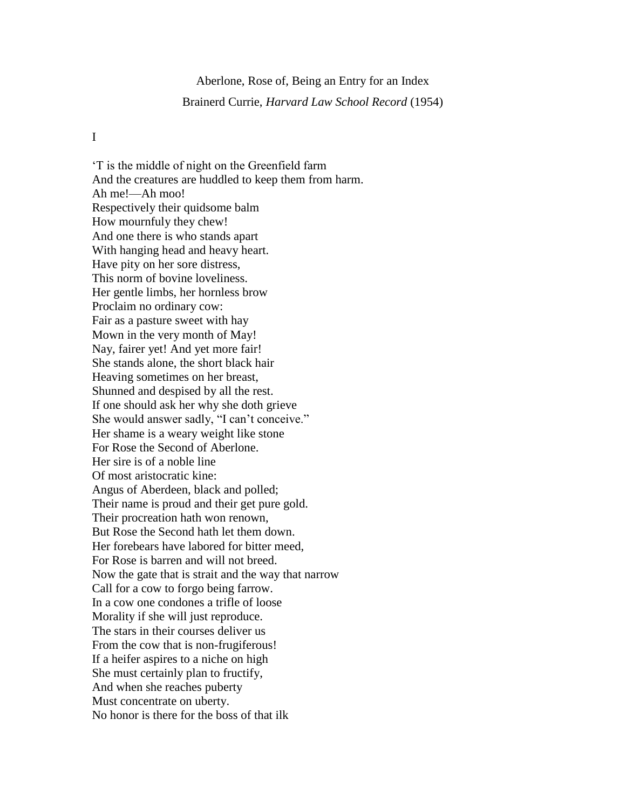# Aberlone, Rose of, Being an Entry for an Index Brainerd Currie, *Harvard Law School Record* (1954)

# I

'T is the middle of night on the Greenfield farm And the creatures are huddled to keep them from harm. Ah me!—Ah moo! Respectively their quidsome balm How mournfuly they chew! And one there is who stands apart With hanging head and heavy heart. Have pity on her sore distress, This norm of bovine loveliness. Her gentle limbs, her hornless brow Proclaim no ordinary cow: Fair as a pasture sweet with hay Mown in the very month of May! Nay, fairer yet! And yet more fair! She stands alone, the short black hair Heaving sometimes on her breast, Shunned and despised by all the rest. If one should ask her why she doth grieve She would answer sadly, "I can't conceive." Her shame is a weary weight like stone For Rose the Second of Aberlone. Her sire is of a noble line Of most aristocratic kine: Angus of Aberdeen, black and polled; Their name is proud and their get pure gold. Their procreation hath won renown, But Rose the Second hath let them down. Her forebears have labored for bitter meed, For Rose is barren and will not breed. Now the gate that is strait and the way that narrow Call for a cow to forgo being farrow. In a cow one condones a trifle of loose Morality if she will just reproduce. The stars in their courses deliver us From the cow that is non-frugiferous! If a heifer aspires to a niche on high She must certainly plan to fructify, And when she reaches puberty Must concentrate on uberty. No honor is there for the boss of that ilk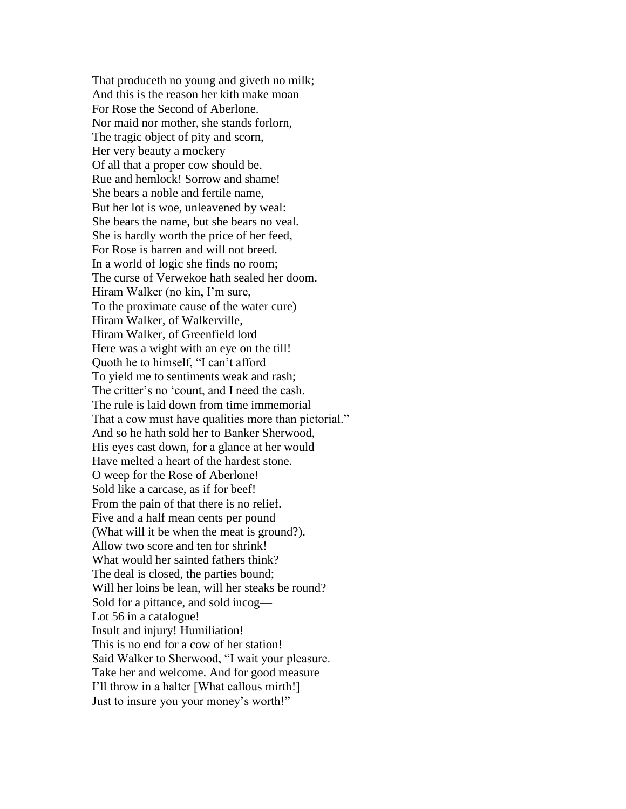That produceth no young and giveth no milk; And this is the reason her kith make moan For Rose the Second of Aberlone. Nor maid nor mother, she stands forlorn, The tragic object of pity and scorn, Her very beauty a mockery Of all that a proper cow should be. Rue and hemlock! Sorrow and shame! She bears a noble and fertile name, But her lot is woe, unleavened by weal: She bears the name, but she bears no veal. She is hardly worth the price of her feed, For Rose is barren and will not breed. In a world of logic she finds no room; The curse of Verwekoe hath sealed her doom. Hiram Walker (no kin, I'm sure, To the proximate cause of the water cure)— Hiram Walker, of Walkerville, Hiram Walker, of Greenfield lord— Here was a wight with an eye on the till! Quoth he to himself, "I can't afford To yield me to sentiments weak and rash; The critter's no 'count, and I need the cash. The rule is laid down from time immemorial That a cow must have qualities more than pictorial." And so he hath sold her to Banker Sherwood, His eyes cast down, for a glance at her would Have melted a heart of the hardest stone. O weep for the Rose of Aberlone! Sold like a carcase, as if for beef! From the pain of that there is no relief. Five and a half mean cents per pound (What will it be when the meat is ground?). Allow two score and ten for shrink! What would her sainted fathers think? The deal is closed, the parties bound; Will her loins be lean, will her steaks be round? Sold for a pittance, and sold incog— Lot 56 in a catalogue! Insult and injury! Humiliation! This is no end for a cow of her station! Said Walker to Sherwood, "I wait your pleasure. Take her and welcome. And for good measure I'll throw in a halter [What callous mirth!] Just to insure you your money's worth!"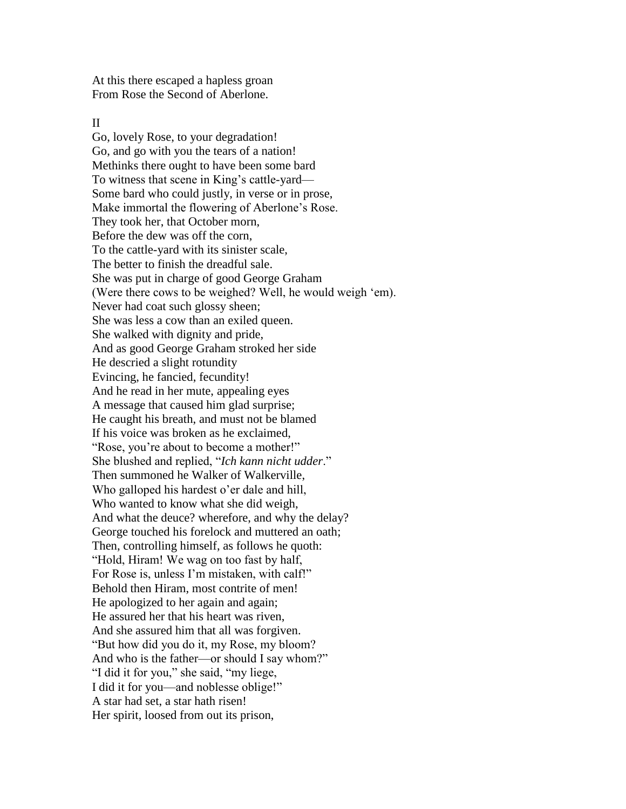At this there escaped a hapless groan From Rose the Second of Aberlone.

#### II

Go, lovely Rose, to your degradation! Go, and go with you the tears of a nation! Methinks there ought to have been some bard To witness that scene in King's cattle-yard— Some bard who could justly, in verse or in prose, Make immortal the flowering of Aberlone's Rose. They took her, that October morn, Before the dew was off the corn, To the cattle-yard with its sinister scale, The better to finish the dreadful sale. She was put in charge of good George Graham (Were there cows to be weighed? Well, he would weigh 'em). Never had coat such glossy sheen; She was less a cow than an exiled queen. She walked with dignity and pride, And as good George Graham stroked her side He descried a slight rotundity Evincing, he fancied, fecundity! And he read in her mute, appealing eyes A message that caused him glad surprise; He caught his breath, and must not be blamed If his voice was broken as he exclaimed, "Rose, you're about to become a mother!" She blushed and replied, "*Ich kann nicht udder*." Then summoned he Walker of Walkerville, Who galloped his hardest o'er dale and hill, Who wanted to know what she did weigh, And what the deuce? wherefore, and why the delay? George touched his forelock and muttered an oath; Then, controlling himself, as follows he quoth: "Hold, Hiram! We wag on too fast by half, For Rose is, unless I'm mistaken, with calf!" Behold then Hiram, most contrite of men! He apologized to her again and again; He assured her that his heart was riven, And she assured him that all was forgiven. "But how did you do it, my Rose, my bloom? And who is the father—or should I say whom?" "I did it for you," she said, "my liege, I did it for you—and noblesse oblige!" A star had set, a star hath risen! Her spirit, loosed from out its prison,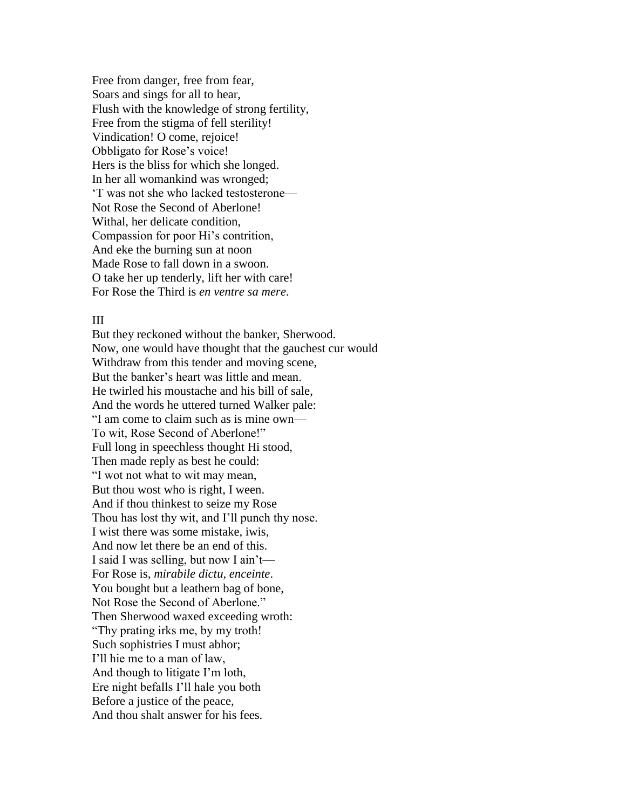Free from danger, free from fear, Soars and sings for all to hear, Flush with the knowledge of strong fertility, Free from the stigma of fell sterility! Vindication! O come, rejoice! Obbligato for Rose's voice! Hers is the bliss for which she longed. In her all womankind was wronged; 'T was not she who lacked testosterone— Not Rose the Second of Aberlone! Withal, her delicate condition, Compassion for poor Hi's contrition, And eke the burning sun at noon Made Rose to fall down in a swoon. O take her up tenderly, lift her with care! For Rose the Third is *en ventre sa mere*.

## III

But they reckoned without the banker, Sherwood. Now, one would have thought that the gauchest cur would Withdraw from this tender and moving scene, But the banker's heart was little and mean. He twirled his moustache and his bill of sale, And the words he uttered turned Walker pale: "I am come to claim such as is mine own— To wit, Rose Second of Aberlone!" Full long in speechless thought Hi stood, Then made reply as best he could: "I wot not what to wit may mean, But thou wost who is right, I ween. And if thou thinkest to seize my Rose Thou has lost thy wit, and I'll punch thy nose. I wist there was some mistake, iwis, And now let there be an end of this. I said I was selling, but now I ain't— For Rose is*, mirabile dictu, enceinte*. You bought but a leathern bag of bone, Not Rose the Second of Aberlone." Then Sherwood waxed exceeding wroth: "Thy prating irks me, by my troth! Such sophistries I must abhor; I'll hie me to a man of law, And though to litigate I'm loth, Ere night befalls I'll hale you both Before a justice of the peace, And thou shalt answer for his fees.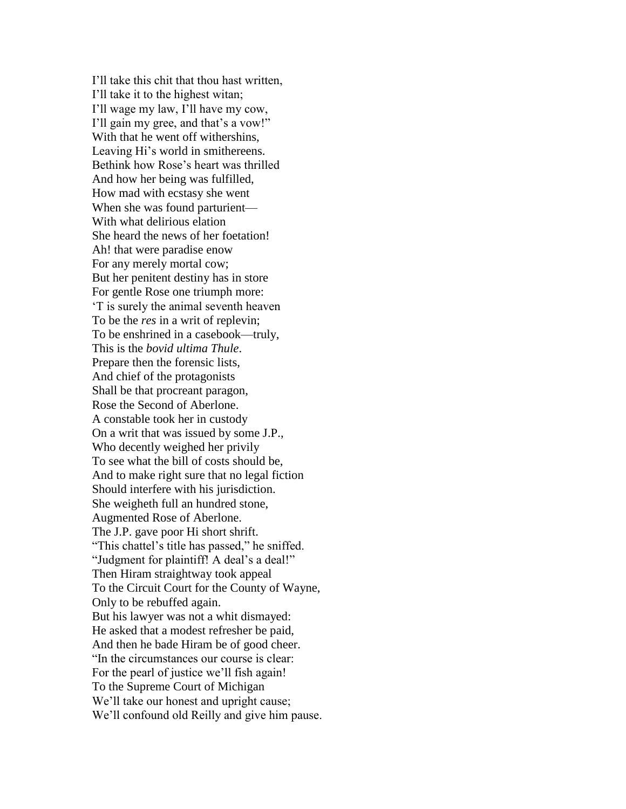I'll take this chit that thou hast written, I'll take it to the highest witan; I'll wage my law, I'll have my cow, I'll gain my gree, and that's a vow!" With that he went off withershins, Leaving Hi's world in smithereens. Bethink how Rose's heart was thrilled And how her being was fulfilled, How mad with ecstasy she went When she was found parturient— With what delirious elation She heard the news of her foetation! Ah! that were paradise enow For any merely mortal cow; But her penitent destiny has in store For gentle Rose one triumph more: 'T is surely the animal seventh heaven To be the *res* in a writ of replevin; To be enshrined in a casebook—truly, This is the *bovid ultima Thule*. Prepare then the forensic lists, And chief of the protagonists Shall be that procreant paragon, Rose the Second of Aberlone. A constable took her in custody On a writ that was issued by some J.P., Who decently weighed her privily To see what the bill of costs should be, And to make right sure that no legal fiction Should interfere with his jurisdiction. She weigheth full an hundred stone, Augmented Rose of Aberlone. The J.P. gave poor Hi short shrift. "This chattel's title has passed," he sniffed. "Judgment for plaintiff! A deal's a deal!" Then Hiram straightway took appeal To the Circuit Court for the County of Wayne, Only to be rebuffed again. But his lawyer was not a whit dismayed: He asked that a modest refresher be paid, And then he bade Hiram be of good cheer. "In the circumstances our course is clear: For the pearl of justice we'll fish again! To the Supreme Court of Michigan We'll take our honest and upright cause; We'll confound old Reilly and give him pause.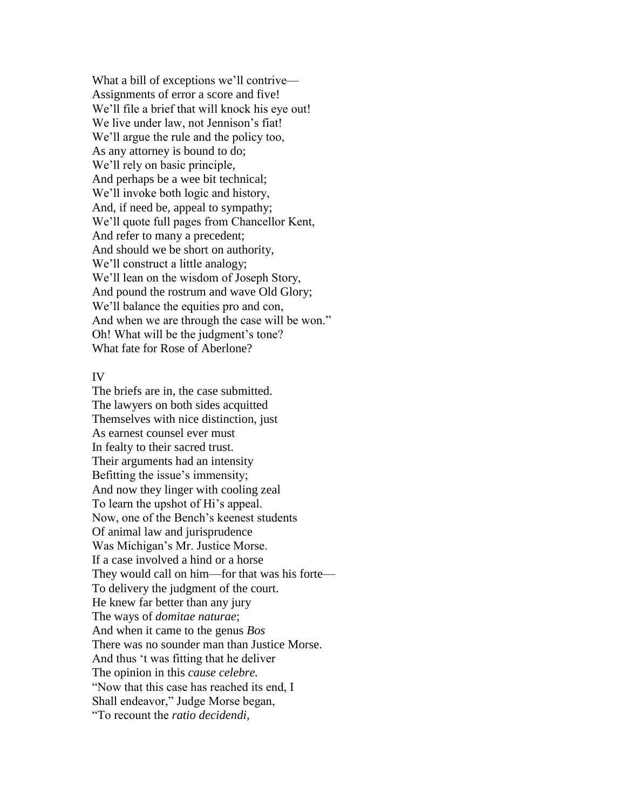What a bill of exceptions we'll contrive— Assignments of error a score and five! We'll file a brief that will knock his eye out! We live under law, not Jennison's fiat! We'll argue the rule and the policy too, As any attorney is bound to do; We'll rely on basic principle, And perhaps be a wee bit technical; We'll invoke both logic and history, And, if need be, appeal to sympathy; We'll quote full pages from Chancellor Kent, And refer to many a precedent; And should we be short on authority, We'll construct a little analogy; We'll lean on the wisdom of Joseph Story, And pound the rostrum and wave Old Glory; We'll balance the equities pro and con, And when we are through the case will be won." Oh! What will be the judgment's tone? What fate for Rose of Aberlone?

## IV

The briefs are in, the case submitted. The lawyers on both sides acquitted Themselves with nice distinction, just As earnest counsel ever must In fealty to their sacred trust. Their arguments had an intensity Befitting the issue's immensity; And now they linger with cooling zeal To learn the upshot of Hi's appeal. Now, one of the Bench's keenest students Of animal law and jurisprudence Was Michigan's Mr. Justice Morse. If a case involved a hind or a horse They would call on him—for that was his forte— To delivery the judgment of the court. He knew far better than any jury The ways of *domitae naturae*; And when it came to the genus *Bos* There was no sounder man than Justice Morse. And thus 't was fitting that he deliver The opinion in this *cause celebre.* "Now that this case has reached its end, I Shall endeavor," Judge Morse began, "To recount the *ratio decidendi*,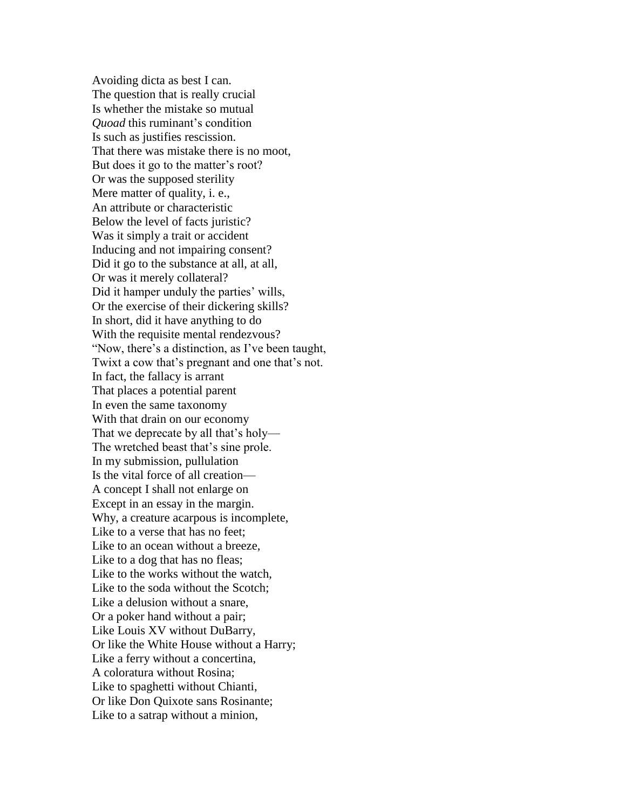Avoiding dicta as best I can. The question that is really crucial Is whether the mistake so mutual *Quoad* this ruminant's condition Is such as justifies rescission. That there was mistake there is no moot, But does it go to the matter's root? Or was the supposed sterility Mere matter of quality, i. e., An attribute or characteristic Below the level of facts juristic? Was it simply a trait or accident Inducing and not impairing consent? Did it go to the substance at all, at all, Or was it merely collateral? Did it hamper unduly the parties' wills, Or the exercise of their dickering skills? In short, did it have anything to do With the requisite mental rendezvous? "Now, there's a distinction, as I've been taught, Twixt a cow that's pregnant and one that's not. In fact, the fallacy is arrant That places a potential parent In even the same taxonomy With that drain on our economy That we deprecate by all that's holy— The wretched beast that's sine prole. In my submission, pullulation Is the vital force of all creation— A concept I shall not enlarge on Except in an essay in the margin. Why, a creature acarpous is incomplete, Like to a verse that has no feet; Like to an ocean without a breeze, Like to a dog that has no fleas; Like to the works without the watch, Like to the soda without the Scotch; Like a delusion without a snare, Or a poker hand without a pair; Like Louis XV without DuBarry, Or like the White House without a Harry; Like a ferry without a concertina, A coloratura without Rosina; Like to spaghetti without Chianti, Or like Don Quixote sans Rosinante; Like to a satrap without a minion,